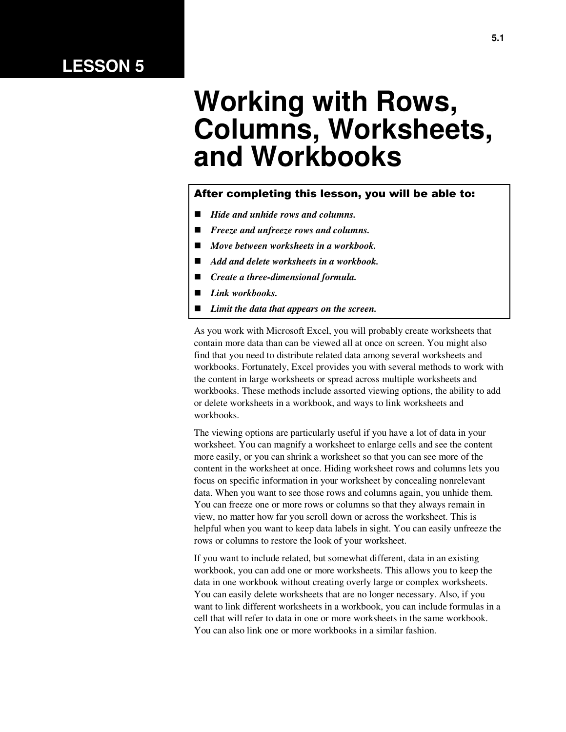# **LESSON 5**

# **Working with Rows, Columns, Worksheets, and Workbooks**

#### After completing this lesson, you will be able to:

- *Hide and unhide rows and columns.*
- *Freeze and unfreeze rows and columns.*
- *Move between worksheets in a workbook.*
- *Add and delete worksheets in a workbook.*
- *Create a three-dimensional formula.*
- *Link workbooks.*
- *Limit the data that appears on the screen.*

As you work with Microsoft Excel, you will probably create worksheets that contain more data than can be viewed all at once on screen. You might also find that you need to distribute related data among several worksheets and workbooks. Fortunately, Excel provides you with several methods to work with the content in large worksheets or spread across multiple worksheets and workbooks. These methods include assorted viewing options, the ability to add or delete worksheets in a workbook, and ways to link worksheets and workbooks.

The viewing options are particularly useful if you have a lot of data in your worksheet. You can magnify a worksheet to enlarge cells and see the content more easily, or you can shrink a worksheet so that you can see more of the content in the worksheet at once. Hiding worksheet rows and columns lets you focus on specific information in your worksheet by concealing nonrelevant data. When you want to see those rows and columns again, you unhide them. You can freeze one or more rows or columns so that they always remain in view, no matter how far you scroll down or across the worksheet. This is helpful when you want to keep data labels in sight. You can easily unfreeze the rows or columns to restore the look of your worksheet.

If you want to include related, but somewhat different, data in an existing workbook, you can add one or more worksheets. This allows you to keep the data in one workbook without creating overly large or complex worksheets. You can easily delete worksheets that are no longer necessary. Also, if you want to link different worksheets in a workbook, you can include formulas in a cell that will refer to data in one or more worksheets in the same workbook. You can also link one or more workbooks in a similar fashion.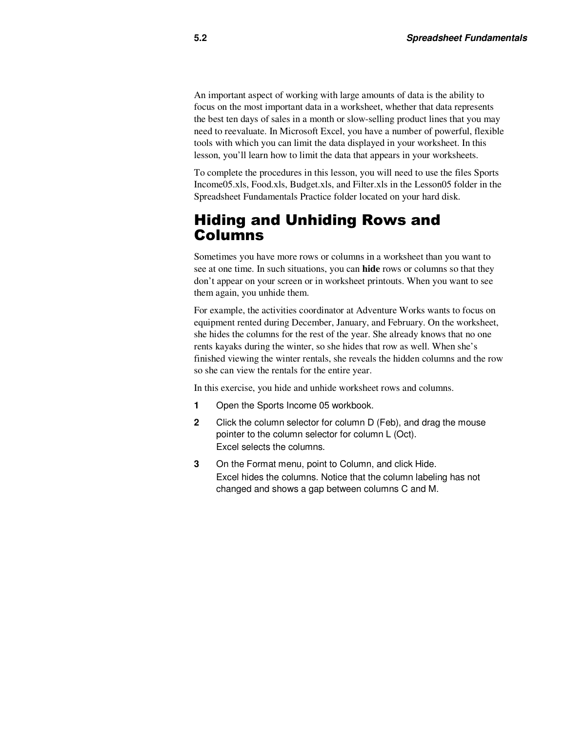An important aspect of working with large amounts of data is the ability to focus on the most important data in a worksheet, whether that data represents the best ten days of sales in a month or slow-selling product lines that you may need to reevaluate. In Microsoft Excel, you have a number of powerful, flexible tools with which you can limit the data displayed in your worksheet. In this lesson, you'll learn how to limit the data that appears in your worksheets.

To complete the procedures in this lesson, you will need to use the files Sports Income05.xls, Food.xls, Budget.xls, and Filter.xls in the Lesson05 folder in the Spreadsheet Fundamentals Practice folder located on your hard disk.

#### Hiding and Unhiding Rows and Columns

Sometimes you have more rows or columns in a worksheet than you want to see at one time. In such situations, you can **hide** rows or columns so that they don't appear on your screen or in worksheet printouts. When you want to see them again, you unhide them.

For example, the activities coordinator at Adventure Works wants to focus on equipment rented during December, January, and February. On the worksheet, she hides the columns for the rest of the year. She already knows that no one rents kayaks during the winter, so she hides that row as well. When she's finished viewing the winter rentals, she reveals the hidden columns and the row so she can view the rentals for the entire year.

In this exercise, you hide and unhide worksheet rows and columns.

- **1** Open the Sports Income 05 workbook.
- **2** Click the column selector for column D (Feb), and drag the mouse pointer to the column selector for column L (Oct). Excel selects the columns.
- **3** On the Format menu, point to Column, and click Hide. Excel hides the columns. Notice that the column labeling has not changed and shows a gap between columns C and M.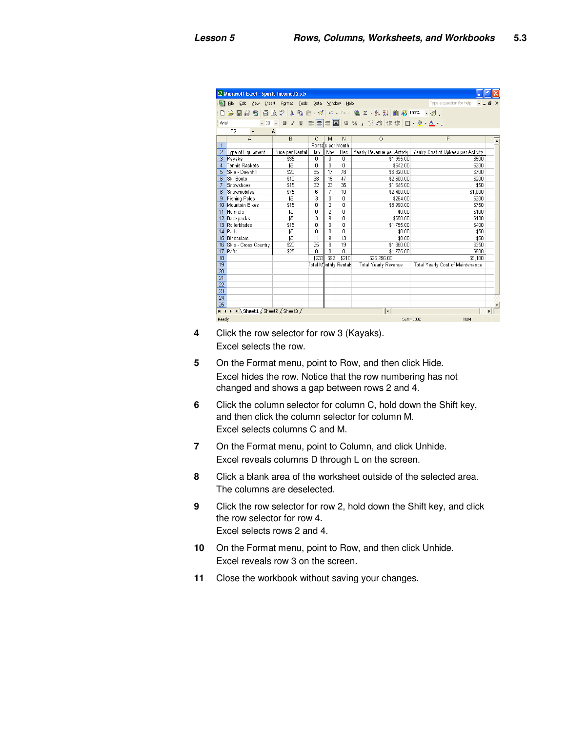|                       | Microsoft Excel - Sports Income05.xls      |                          |          |                |                              |                                                                                                                                                                                                                                                                                                                                                 |                                             |    |
|-----------------------|--------------------------------------------|--------------------------|----------|----------------|------------------------------|-------------------------------------------------------------------------------------------------------------------------------------------------------------------------------------------------------------------------------------------------------------------------------------------------------------------------------------------------|---------------------------------------------|----|
|                       | 图 File<br>Edit<br>View<br>Insert           | Tools<br>Format          | Data     | Window         | Help                         |                                                                                                                                                                                                                                                                                                                                                 | Type a question for help                    |    |
|                       | $E = 1$                                    |                          |          |                |                              | $\text{B} \left[ \begin{array}{c c} \mathbf{0} & \mathbf{0} \end{array} \right]$ , $\mathbf{0} \left[ \begin{array}{c c} \mathbf{0} & \mathbf{0} \end{array} \right]$ , $\mathbf{0} \left[ \begin{array}{c c} \mathbf{0} & \mathbf{0} \end{array} \right]$ , $\mathbf{0} \left[ \begin{array}{c c} \mathbf{0} & \mathbf{0} \end{array} \right]$ |                                             |    |
| Arial                 | $-10$                                      |                          |          |                |                              |                                                                                                                                                                                                                                                                                                                                                 |                                             |    |
|                       |                                            |                          |          |                |                              |                                                                                                                                                                                                                                                                                                                                                 |                                             |    |
|                       | D <sub>2</sub><br>$\overline{\phantom{0}}$ | $f_x$                    |          |                |                              |                                                                                                                                                                                                                                                                                                                                                 |                                             |    |
|                       | A                                          | B                        | Ċ        | M              | N                            | $\circ$                                                                                                                                                                                                                                                                                                                                         | P                                           |    |
| $\overline{1}$        |                                            |                          |          |                | Rentals per Month            |                                                                                                                                                                                                                                                                                                                                                 |                                             |    |
| $\overline{2}$<br>3   | Type of Equipment                          | Price per Rental<br>\$35 | Jan<br>0 | Nov<br>Ū.      | Dec<br>$\mathbf 0$           | Yearly Revenue per Activty<br>\$1,995.00                                                                                                                                                                                                                                                                                                        | Yealry Cost of Upkeep per Activity<br>\$500 |    |
| $\overline{4}$        | Kayaks<br><b>Tennis Rackets</b>            | \$3                      | 0        | 0              | $\mathbf 0$                  | \$642.00                                                                                                                                                                                                                                                                                                                                        | \$200                                       |    |
| 5                     | Skis - Downhill                            | \$20                     | 85       | 17             | 78                           | \$6,820.00                                                                                                                                                                                                                                                                                                                                      | \$700                                       |    |
| 6                     | Ski Boots                                  | \$10                     | 68       | 15             | 47                           | \$2,600.00                                                                                                                                                                                                                                                                                                                                      | \$200                                       |    |
| $\overline{7}$        | Snowshoes                                  | \$15                     | 32       | 23             | 35                           | \$1,545.00                                                                                                                                                                                                                                                                                                                                      | \$50                                        |    |
| 8                     | Snowmobiles                                | \$75                     | 6        | 7              | 10                           | \$2,400.00                                                                                                                                                                                                                                                                                                                                      | \$1,000                                     |    |
| 9                     | <b>Fishing Poles</b>                       | \$3                      | 3        | 0              | $\mathbf 0$                  | \$264.00                                                                                                                                                                                                                                                                                                                                        | \$200                                       |    |
| 10                    | Mountain Bikes                             | \$15                     | 0        | $\overline{2}$ | $\Omega$                     | \$3,990.00                                                                                                                                                                                                                                                                                                                                      | \$750                                       |    |
| 11                    | <b>Helmets</b>                             | \$0                      | 0        | $\overline{2}$ | $\Omega$                     | \$0.00                                                                                                                                                                                                                                                                                                                                          | \$100                                       |    |
| 12                    | Backpacks                                  | \$5                      | 3        | 9              | R                            | \$650.00                                                                                                                                                                                                                                                                                                                                        | \$130                                       |    |
| 13                    | Rollerblades                               | \$15                     | ٥        | 0              | n                            | \$1,755.00                                                                                                                                                                                                                                                                                                                                      | \$400                                       |    |
| 14                    | Pads                                       | \$0                      | 0        | n              | $\Omega$                     | \$0.00                                                                                                                                                                                                                                                                                                                                          | \$50                                        |    |
| 15                    | Binoculars                                 | \$0                      | 11       | 9              | 13                           | \$0.00                                                                                                                                                                                                                                                                                                                                          | \$50                                        |    |
| 16                    | Skis - Cross Country                       | \$20                     | 25       | 8              | 19                           | \$1,860.00                                                                                                                                                                                                                                                                                                                                      | \$350                                       |    |
| 17                    | Rafts                                      | \$25                     | 0        | 0              | n                            | \$1,775.00                                                                                                                                                                                                                                                                                                                                      | \$500                                       |    |
| 18                    |                                            |                          | \$233    | \$92           | \$210                        | \$26,296.00                                                                                                                                                                                                                                                                                                                                     | \$5,180                                     |    |
| 19<br>$\overline{20}$ |                                            |                          |          |                | <b>Total Monthly Rentals</b> | <b>Total Yearly Revenue</b>                                                                                                                                                                                                                                                                                                                     | Total Yearly Cost of Maintenance            |    |
| $\overline{21}$       |                                            |                          |          |                |                              |                                                                                                                                                                                                                                                                                                                                                 |                                             |    |
| $\overline{22}$       |                                            |                          |          |                |                              |                                                                                                                                                                                                                                                                                                                                                 |                                             |    |
| $\overline{23}$       |                                            |                          |          |                |                              |                                                                                                                                                                                                                                                                                                                                                 |                                             |    |
| 24                    |                                            |                          |          |                |                              |                                                                                                                                                                                                                                                                                                                                                 |                                             |    |
| 25                    |                                            |                          |          |                |                              |                                                                                                                                                                                                                                                                                                                                                 |                                             |    |
| 14.4                  | ▶ H Sheet1 / Sheet2 / Sheet3 /             |                          |          |                |                              | $\overline{1}$                                                                                                                                                                                                                                                                                                                                  |                                             | ۱۱ |
| Ready                 |                                            |                          |          |                |                              |                                                                                                                                                                                                                                                                                                                                                 | $Sum = 3832$<br><b>NLIM</b>                 |    |

- **4** Click the row selector for row 3 (Kayaks). Excel selects the row.
- **5** On the Format menu, point to Row, and then click Hide. Excel hides the row. Notice that the row numbering has not changed and shows a gap between rows 2 and 4.
- **6** Click the column selector for column C, hold down the Shift key, and then click the column selector for column M. Excel selects columns C and M.
- **7** On the Format menu, point to Column, and click Unhide. Excel reveals columns D through L on the screen.
- **8** Click a blank area of the worksheet outside of the selected area. The columns are deselected.
- **9** Click the row selector for row 2, hold down the Shift key, and click the row selector for row 4. Excel selects rows 2 and 4.
- **10** On the Format menu, point to Row, and then click Unhide. Excel reveals row 3 on the screen.
- **11** Close the workbook without saving your changes.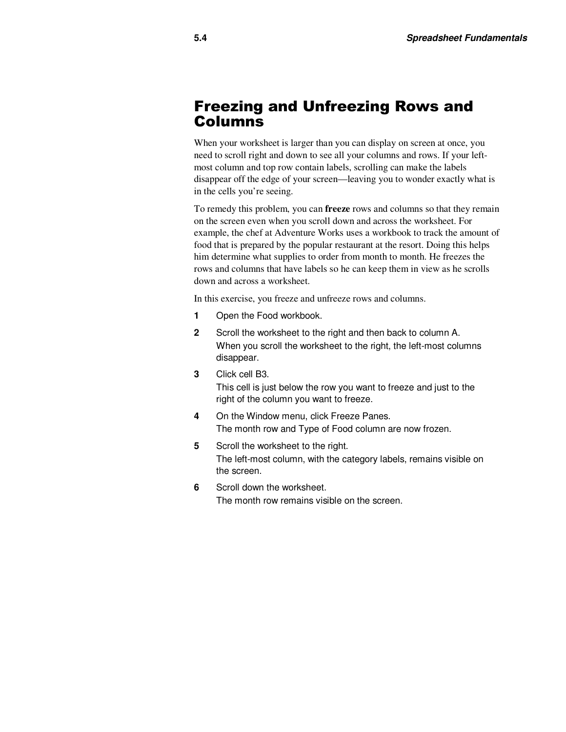## Freezing and Unfreezing Rows and Columns

When your worksheet is larger than you can display on screen at once, you need to scroll right and down to see all your columns and rows. If your leftmost column and top row contain labels, scrolling can make the labels disappear off the edge of your screen—leaving you to wonder exactly what is in the cells you're seeing.

To remedy this problem, you can **freeze** rows and columns so that they remain on the screen even when you scroll down and across the worksheet. For example, the chef at Adventure Works uses a workbook to track the amount of food that is prepared by the popular restaurant at the resort. Doing this helps him determine what supplies to order from month to month. He freezes the rows and columns that have labels so he can keep them in view as he scrolls down and across a worksheet.

In this exercise, you freeze and unfreeze rows and columns.

- **1** Open the Food workbook.
- **2** Scroll the worksheet to the right and then back to column A. When you scroll the worksheet to the right, the left-most columns disappear.
- **3** Click cell B3.

This cell is just below the row you want to freeze and just to the right of the column you want to freeze.

- **4** On the Window menu, click Freeze Panes. The month row and Type of Food column are now frozen.
- **5** Scroll the worksheet to the right. The left-most column, with the category labels, remains visible on the screen.
- **6** Scroll down the worksheet. The month row remains visible on the screen.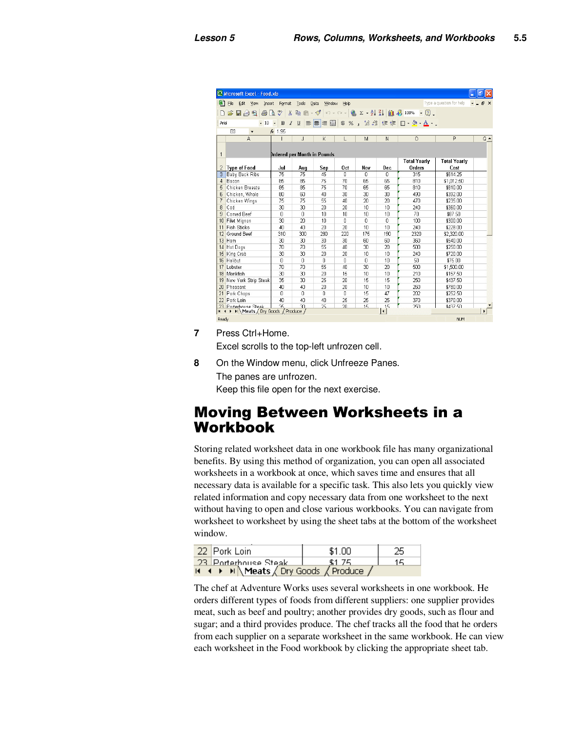|                                                                      | Microsoft Excel - Food.xls                                                                                                                     |                |                |                                    |                          |     |                |                     |                     | $\vec{p}$             |  |  |
|----------------------------------------------------------------------|------------------------------------------------------------------------------------------------------------------------------------------------|----------------|----------------|------------------------------------|--------------------------|-----|----------------|---------------------|---------------------|-----------------------|--|--|
|                                                                      | 剾<br>Type a question for help<br>Eile<br>Đ<br>Edit<br>Help<br>$\boldsymbol{\mathsf{x}}$<br>View<br>Tools<br>Data<br>Window<br>Insert<br>Format |                |                |                                    |                          |     |                |                     |                     |                       |  |  |
| ¥,<br><b>电晶 · ダ</b><br>$\sqrt[85]{}$<br>日台电<br>马<br>$\sqrt{a}$<br>ದೆ |                                                                                                                                                |                |                |                                    |                          |     |                |                     |                     |                       |  |  |
|                                                                      | I U   三   三   三   三   国   \$ % , 18 . 28   律 律   田 · 少 · A · 、<br>Arial<br>$-10$<br>$\overline{\phantom{a}}$<br>$\mathbf{B}$                   |                |                |                                    |                          |     |                |                     |                     |                       |  |  |
|                                                                      | B <sub>3</sub>                                                                                                                                 | fx 1.95        |                |                                    |                          |     |                |                     |                     |                       |  |  |
|                                                                      | A                                                                                                                                              |                | J              | K                                  | т                        | M   | N              | 0                   | P                   | $Q -$                 |  |  |
|                                                                      |                                                                                                                                                |                |                |                                    |                          |     |                |                     |                     |                       |  |  |
| 1                                                                    |                                                                                                                                                |                |                | <b>Drdered per Month in Pounds</b> |                          |     |                |                     |                     |                       |  |  |
|                                                                      |                                                                                                                                                |                |                |                                    |                          |     |                | <b>Total Yearly</b> | <b>Total Yearly</b> |                       |  |  |
| 2                                                                    | <b>Type of Food</b>                                                                                                                            | Jul            | Aug            | Sep                                | 0 <sub>ct</sub>          | Nov | Dec            | Orders              | Cost                |                       |  |  |
| 3                                                                    | Baby Back Ribs                                                                                                                                 | 75             | 75             | 45                                 | $\overline{\phantom{a}}$ | n   | n              | 315                 | \$614.25            |                       |  |  |
| $\overline{4}$                                                       | Bacon                                                                                                                                          | 85             | 85             | 75                                 | 70                       | 65  | 65             | 810                 | \$1,012.50          |                       |  |  |
| 5                                                                    | Chicken Breasts                                                                                                                                | 85             | 85             | 75                                 | 70                       | 65  | 65             | 810                 | \$810.00            |                       |  |  |
| 6                                                                    | Chicken, Whole                                                                                                                                 | 80             | 60             | 40                                 | 30                       | 30  | 30             | 490                 | \$392.00            |                       |  |  |
| 7                                                                    | Chicken Wings                                                                                                                                  | 75             | 75             | 55                                 | 40                       | 20  | 20             | 470                 | \$235.00            |                       |  |  |
| 8                                                                    | Cod                                                                                                                                            | 30             | 30             | 20                                 | 20                       | 10  | 10             | 240                 | \$360.00            |                       |  |  |
| 9                                                                    | Corned Beef                                                                                                                                    | $\overline{0}$ | $\overline{0}$ | 10                                 | 10                       | 10  | 10             | 70                  | \$87.50             |                       |  |  |
| 10                                                                   | <b>Filet Mignon</b>                                                                                                                            | 30             | 20             | 10                                 | $\mathbf{0}$             | 0   | 0              | 100                 | \$300.00            |                       |  |  |
| 11                                                                   | <b>Fish Sticks</b>                                                                                                                             | 40             | 40             | 20                                 | 20                       | 10  | 10             | 240                 | \$228.00            |                       |  |  |
| 12                                                                   | Ground Beef                                                                                                                                    | 310            | 300            | 280                                | 220                      | 175 | 190            | 2320                | \$2,320.00          |                       |  |  |
| 13                                                                   | Ham                                                                                                                                            | 30             | 30             | 30                                 | 30                       | 60  | 60             | 360                 | \$540.00            |                       |  |  |
| 14                                                                   | Hot Dogs                                                                                                                                       | 70             | 70             | 55                                 | 40                       | 30  | 20             | 500                 | \$250.00            |                       |  |  |
| 15                                                                   | King Crab                                                                                                                                      | 30             | 30             | 20                                 | 20                       | 10  | 10             | 240                 | \$720.00            |                       |  |  |
| 16                                                                   | Halibut                                                                                                                                        | $\Omega$       | $\Omega$       | 0                                  | $\overline{\phantom{a}}$ | 0   | 10             | 50                  | \$75.00             |                       |  |  |
| 17                                                                   | Lobster                                                                                                                                        | 70             | 70             | 55                                 | 40                       | 30  | 20             | 500                 | \$1,500.00          |                       |  |  |
| 18                                                                   | Monkfish                                                                                                                                       | 30             | 30             | 20                                 | 15                       | 10  | 10             | 210                 | \$157.50            |                       |  |  |
| 19                                                                   | New York Strip Steak                                                                                                                           | 35             | 30             | 25                                 | 20                       | 15  | 15             | 250                 | \$437.50            |                       |  |  |
| 20                                                                   | Pheasant                                                                                                                                       | 40             | 40             | 20                                 | 20                       | 10  | 10             | 260                 | \$780.00            |                       |  |  |
| 21                                                                   | Pork Chops                                                                                                                                     | 0              | 0              | 0                                  | 0                        | 15  | 47             | 202                 | \$252.50            |                       |  |  |
| 22                                                                   | Pork Loin                                                                                                                                      | 40             | 40             | 40                                 | 25                       | 25  | 25             | 370                 | \$370.00            |                       |  |  |
|                                                                      | 23 Porterhouse Steak                                                                                                                           | 35             | 30             | 25                                 | $\overline{20}$          | 15  | 15             | 250                 | \$437.50            | $\blacktriangleright$ |  |  |
| $H$ $\leftarrow$<br>Ready                                            | I IN Meats / Dry Goods / Produce /                                                                                                             |                |                |                                    |                          |     | $\blacksquare$ |                     | <b>NUM</b>          |                       |  |  |

#### **7** Press Ctrl+Home.

Excel scrolls to the top-left unfrozen cell.

**8** On the Window menu, click Unfreeze Panes. The panes are unfrozen. Keep this file open for the next exercise.

# Moving Between Worksheets in a Workbook

Storing related worksheet data in one workbook file has many organizational benefits. By using this method of organization, you can open all associated worksheets in a workbook at once, which saves time and ensures that all necessary data is available for a specific task. This also lets you quickly view related information and copy necessary data from one worksheet to the next without having to open and close various workbooks. You can navigate from worksheet to worksheet by using the sheet tabs at the bottom of the worksheet window.

| 22 Pork Loin                                      | \$1 NO |  |
|---------------------------------------------------|--------|--|
| <b>23 Porterhouse Steak</b>                       | C1 75  |  |
| $H \rightarrow H \$ Meats / Dry Goods / Produce / |        |  |

The chef at Adventure Works uses several worksheets in one workbook. He orders different types of foods from different suppliers: one supplier provides meat, such as beef and poultry; another provides dry goods, such as flour and sugar; and a third provides produce. The chef tracks all the food that he orders from each supplier on a separate worksheet in the same workbook. He can view each worksheet in the Food workbook by clicking the appropriate sheet tab.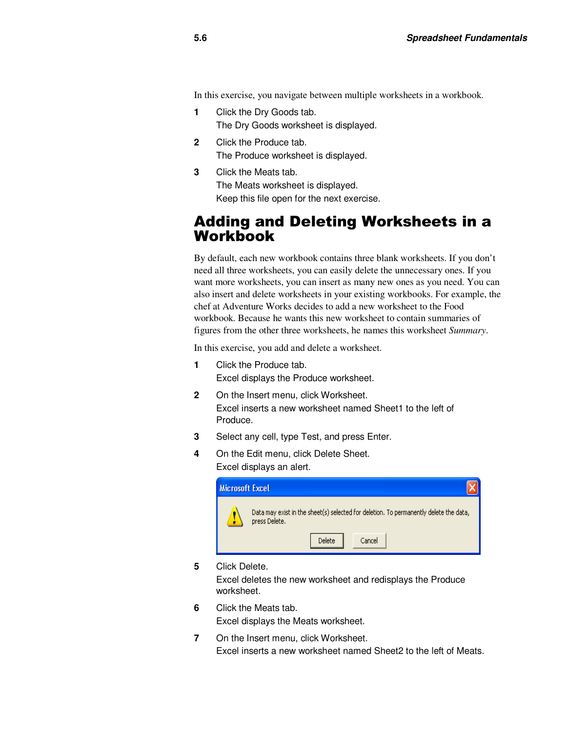In this exercise, you navigate between multiple worksheets in a workbook.

- **1** Click the Dry Goods tab. The Dry Goods worksheet is displayed.
- **2** Click the Produce tab. The Produce worksheet is displayed.
- **3** Click the Meats tab. The Meats worksheet is displayed. Keep this file open for the next exercise.

#### Adding and Deleting Worksheets in a Workbook

By default, each new workbook contains three blank worksheets. If you don't need all three worksheets, you can easily delete the unnecessary ones. If you want more worksheets, you can insert as many new ones as you need. You can also insert and delete worksheets in your existing workbooks. For example, the chef at Adventure Works decides to add a new worksheet to the Food workbook. Because he wants this new worksheet to contain summaries of figures from the other three worksheets, he names this worksheet *Summary*.

In this exercise, you add and delete a worksheet.

- **1** Click the Produce tab. Excel displays the Produce worksheet.
- **2** On the Insert menu, click Worksheet. Excel inserts a new worksheet named Sheet1 to the left of Produce.
- **3** Select any cell, type Test, and press Enter.
- **4** On the Edit menu, click Delete Sheet. Excel displays an alert.



**5** Click Delete.

Excel deletes the new worksheet and redisplays the Produce worksheet.

- **6** Click the Meats tab. Excel displays the Meats worksheet.
- **7** On the Insert menu, click Worksheet. Excel inserts a new worksheet named Sheet2 to the left of Meats.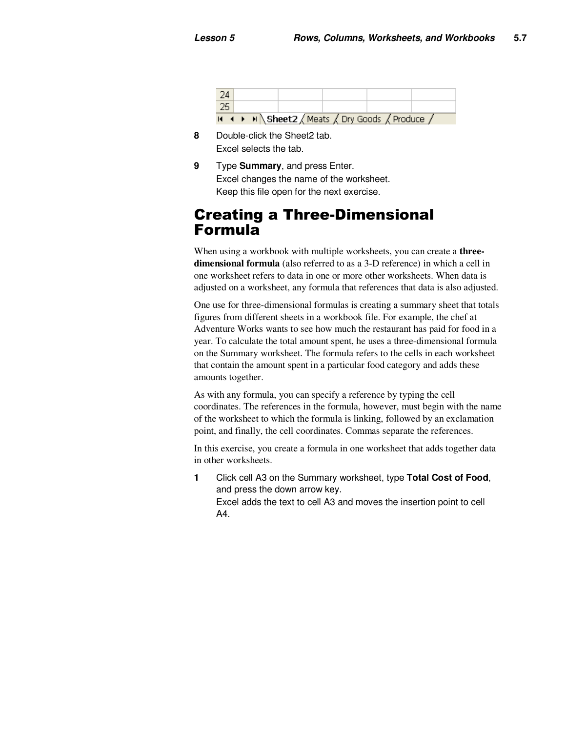|     |  | II ( → ) IN Sheet2 / Meats / Dry Goods / Produce / |  |
|-----|--|----------------------------------------------------|--|
| DE. |  |                                                    |  |
| 24  |  |                                                    |  |

- **8** Double-click the Sheet2 tab. Excel selects the tab.
- **9** Type **Summary**, and press Enter. Excel changes the name of the worksheet. Keep this file open for the next exercise.

# Creating a Three-Dimensional Formula

When using a workbook with multiple worksheets, you can create a **threedimensional formula** (also referred to as a 3-D reference) in which a cell in one worksheet refers to data in one or more other worksheets. When data is adjusted on a worksheet, any formula that references that data is also adjusted.

One use for three-dimensional formulas is creating a summary sheet that totals figures from different sheets in a workbook file. For example, the chef at Adventure Works wants to see how much the restaurant has paid for food in a year. To calculate the total amount spent, he uses a three-dimensional formula on the Summary worksheet. The formula refers to the cells in each worksheet that contain the amount spent in a particular food category and adds these amounts together.

As with any formula, you can specify a reference by typing the cell coordinates. The references in the formula, however, must begin with the name of the worksheet to which the formula is linking, followed by an exclamation point, and finally, the cell coordinates. Commas separate the references.

In this exercise, you create a formula in one worksheet that adds together data in other worksheets.

**1** Click cell A3 on the Summary worksheet, type **Total Cost of Food**, and press the down arrow key. Excel adds the text to cell A3 and moves the insertion point to cell A4.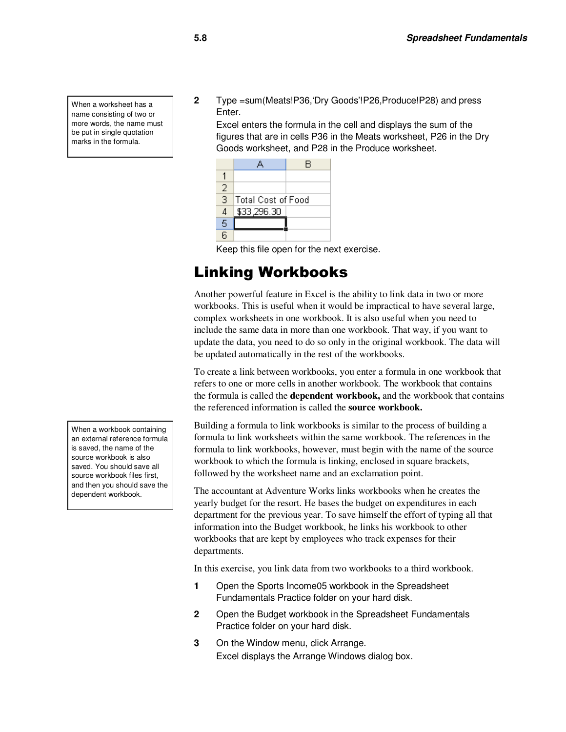When a worksheet has a name consisting of two or more words, the name must be put in single quotation marks in the formula.

**2** Type =sum(Meats!P36,'Dry Goods'!P26,Produce!P28) and press Enter.

Excel enters the formula in the cell and displays the sum of the figures that are in cells P36 in the Meats worksheet, P26 in the Dry Goods worksheet, and P28 in the Produce worksheet.



Keep this file open for the next exercise.

# Linking Workbooks

Another powerful feature in Excel is the ability to link data in two or more workbooks. This is useful when it would be impractical to have several large, complex worksheets in one workbook. It is also useful when you need to include the same data in more than one workbook. That way, if you want to update the data, you need to do so only in the original workbook. The data will be updated automatically in the rest of the workbooks.

To create a link between workbooks, you enter a formula in one workbook that refers to one or more cells in another workbook. The workbook that contains the formula is called the **dependent workbook,** and the workbook that contains the referenced information is called the **source workbook.**

Building a formula to link workbooks is similar to the process of building a formula to link worksheets within the same workbook. The references in the formula to link workbooks, however, must begin with the name of the source workbook to which the formula is linking, enclosed in square brackets, followed by the worksheet name and an exclamation point.

The accountant at Adventure Works links workbooks when he creates the yearly budget for the resort. He bases the budget on expenditures in each department for the previous year. To save himself the effort of typing all that information into the Budget workbook, he links his workbook to other workbooks that are kept by employees who track expenses for their departments.

In this exercise, you link data from two workbooks to a third workbook.

- **1** Open the Sports Income05 workbook in the Spreadsheet Fundamentals Practice folder on your hard disk.
- **2** Open the Budget workbook in the Spreadsheet Fundamentals Practice folder on your hard disk.
- **3** On the Window menu, click Arrange. Excel displays the Arrange Windows dialog box.

When a workbook containing an external reference formula is saved, the name of the source workbook is also saved. You should save all source workbook files first, and then you should save the dependent workbook.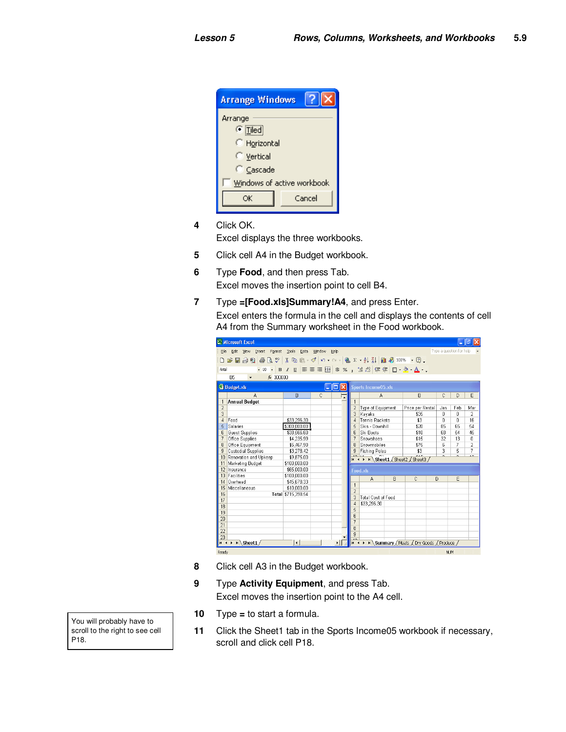

- **4** Click OK.
	- Excel displays the three workbooks.
- **5** Click cell A4 in the Budget workbook.
- **6** Type **Food**, and then press Tab. Excel moves the insertion point to cell B4.
- **7** Type **=[Food.xls]Summary!A4**, and press Enter. Excel enters the formula in the cell and displays the contents of cell A4 from the Summary worksheet in the Food workbook.

|                 | <b>E</b> Microsoft Excel                                        |                            |        |                  |                           |                                                                                                                                                                                                                                                                                                                                                                                                                                                                                             |   |                  |  |            |                          |                     |
|-----------------|-----------------------------------------------------------------|----------------------------|--------|------------------|---------------------------|---------------------------------------------------------------------------------------------------------------------------------------------------------------------------------------------------------------------------------------------------------------------------------------------------------------------------------------------------------------------------------------------------------------------------------------------------------------------------------------------|---|------------------|--|------------|--------------------------|---------------------|
| File            | Edit<br>Format<br>View Insert                                   | Tools<br>Data              | Window | Help             |                           |                                                                                                                                                                                                                                                                                                                                                                                                                                                                                             |   |                  |  |            | Type a question for help |                     |
|                 | $\mathfrak{S}$ . And $\mathfrak{B}$ and $\mathfrak{S}$          |                            |        |                  |                           | $\textit{X} \quad \text{in} \quad \text{R} \cdot \text{S} \quad \text{S} \cdot \text{S} \cdot \text{S} \cdot \text{S} \cdot \text{S} \cdot \text{S} \cdot \text{S} \cdot \text{S} \cdot \text{S} \cdot \text{S} \cdot \text{S} \cdot \text{S} \cdot \text{S} \cdot \text{S} \cdot \text{S} \cdot \text{S} \cdot \text{S} \cdot \text{S} \cdot \text{S} \cdot \text{S} \cdot \text{S} \cdot \text{S} \cdot \text{S} \cdot \text{S} \cdot \text{S} \cdot \text{S} \cdot \text{S} \cdot \text$ |   |                  |  |            |                          |                     |
| Arial           |                                                                 |                            |        |                  |                           |                                                                                                                                                                                                                                                                                                                                                                                                                                                                                             |   |                  |  |            |                          |                     |
|                 | <b>B5</b><br>$\frac{1}{2}$ 300000                               |                            |        |                  |                           |                                                                                                                                                                                                                                                                                                                                                                                                                                                                                             |   |                  |  |            |                          |                     |
|                 | <b>Budget.xls</b><br>Sports Income05.xls<br>$\  \Box \  \times$ |                            |        |                  |                           |                                                                                                                                                                                                                                                                                                                                                                                                                                                                                             |   |                  |  |            |                          |                     |
|                 |                                                                 |                            |        |                  |                           |                                                                                                                                                                                                                                                                                                                                                                                                                                                                                             |   |                  |  |            |                          |                     |
|                 | A                                                               | B                          | C      | $\blacktriangle$ | $\mathbf{1}$              | A                                                                                                                                                                                                                                                                                                                                                                                                                                                                                           |   | B                |  | C          | D                        | E                   |
| $\overline{2}$  | <b>Annual Budget</b>                                            |                            |        |                  | $\overline{2}$            | Type of Equipment                                                                                                                                                                                                                                                                                                                                                                                                                                                                           |   | Price per Rental |  | Jan        | Feb                      | Mar                 |
| 3               |                                                                 |                            |        |                  | 3                         | Kayaks                                                                                                                                                                                                                                                                                                                                                                                                                                                                                      |   | \$35             |  | n          | n                        | $\overline{2}$      |
| $\overline{4}$  | Food                                                            | \$33,296.30                |        |                  | $\boldsymbol{\varLambda}$ | <b>Tennis Rackets</b>                                                                                                                                                                                                                                                                                                                                                                                                                                                                       |   | \$3              |  | n          | n                        | 16                  |
| 5               | Salaries                                                        | \$300,000.00               |        |                  | 5                         | Skis - Downhill                                                                                                                                                                                                                                                                                                                                                                                                                                                                             |   | \$20             |  | 85         | 65                       | 54                  |
| ĥ               | <b>Guest Supplies</b>                                           | \$38,566.60                |        |                  | 6                         | Ski Boots                                                                                                                                                                                                                                                                                                                                                                                                                                                                                   |   | \$10             |  | 68         | 54                       | 45                  |
|                 | Office Supplies                                                 | \$4,235.99                 |        |                  | $\overline{7}$            | Snowshoes                                                                                                                                                                                                                                                                                                                                                                                                                                                                                   |   | \$15             |  | 32         | 13                       | n                   |
| 8               | Office Equipment                                                | \$5,467.90                 |        |                  |                           | 8 Snowmobiles                                                                                                                                                                                                                                                                                                                                                                                                                                                                               |   | \$75             |  | ĥ          | 7                        | $\overline{2}$      |
| 9               | <b>Custodial Supplies</b>                                       | \$3,278.42                 |        |                  |                           | 9 Fishing Poles<br>$40 - 14$                                                                                                                                                                                                                                                                                                                                                                                                                                                                |   | \$3<br>A         |  | 3          | 5                        | 7<br>$\overline{a}$ |
|                 | 10 Renovation and Upkeep<br>11 Marketing Budget                 | \$9,875.00<br>\$100,000.00 |        |                  |                           | If ( → H Sheet1 / Sheet2 / Sheet3 /                                                                                                                                                                                                                                                                                                                                                                                                                                                         |   |                  |  |            |                          |                     |
|                 | 12 Insurance                                                    | \$65,000.00                |        |                  |                           |                                                                                                                                                                                                                                                                                                                                                                                                                                                                                             |   |                  |  |            |                          |                     |
|                 | 13 Facilities                                                   | \$100,000.00               |        |                  |                           | Food, xls                                                                                                                                                                                                                                                                                                                                                                                                                                                                                   |   |                  |  |            |                          |                     |
|                 | 14 Overhead                                                     | \$45,678.33                |        |                  |                           | A                                                                                                                                                                                                                                                                                                                                                                                                                                                                                           | B | C                |  | D          | E                        |                     |
|                 | 15 Miscellaneous                                                | \$10,000.00                |        |                  | $\mathbf{1}$              |                                                                                                                                                                                                                                                                                                                                                                                                                                                                                             |   |                  |  |            |                          |                     |
| 16              |                                                                 | Total \$715,398.54         |        |                  | $\overline{2}$<br>3       | <b>Total Cost of Food</b>                                                                                                                                                                                                                                                                                                                                                                                                                                                                   |   |                  |  |            |                          |                     |
| 17              |                                                                 |                            |        |                  | $\overline{4}$            | \$33,296.30                                                                                                                                                                                                                                                                                                                                                                                                                                                                                 |   |                  |  |            |                          |                     |
| 18              |                                                                 |                            |        |                  | 5                         |                                                                                                                                                                                                                                                                                                                                                                                                                                                                                             |   |                  |  |            |                          |                     |
| 19              |                                                                 |                            |        |                  | 6                         |                                                                                                                                                                                                                                                                                                                                                                                                                                                                                             |   |                  |  |            |                          |                     |
| 20<br>21        |                                                                 |                            |        |                  | $\overline{7}$            |                                                                                                                                                                                                                                                                                                                                                                                                                                                                                             |   |                  |  |            |                          |                     |
| $\overline{22}$ |                                                                 |                            |        |                  | 8                         |                                                                                                                                                                                                                                                                                                                                                                                                                                                                                             |   |                  |  |            |                          |                     |
| 23              |                                                                 |                            |        |                  | 9                         |                                                                                                                                                                                                                                                                                                                                                                                                                                                                                             |   |                  |  |            |                          |                     |
|                 | $H \supset$ Sheet1/                                             | $\vert \vert$              |        |                  |                           | ( ▶ ) Summary / Meats / Dry Goods / Produce /                                                                                                                                                                                                                                                                                                                                                                                                                                               |   |                  |  |            |                          |                     |
| Ready           |                                                                 |                            |        |                  |                           |                                                                                                                                                                                                                                                                                                                                                                                                                                                                                             |   |                  |  | <b>NUM</b> |                          |                     |

- **8** Click cell A3 in the Budget workbook.
- **9** Type **Activity Equipment**, and press Tab. Excel moves the insertion point to the A4 cell.
- **10** Type **=** to start a formula.
- **11** Click the Sheet1 tab in the Sports Income05 workbook if necessary, scroll and click cell P18.

You will probably have to scroll to the right to see cell P18.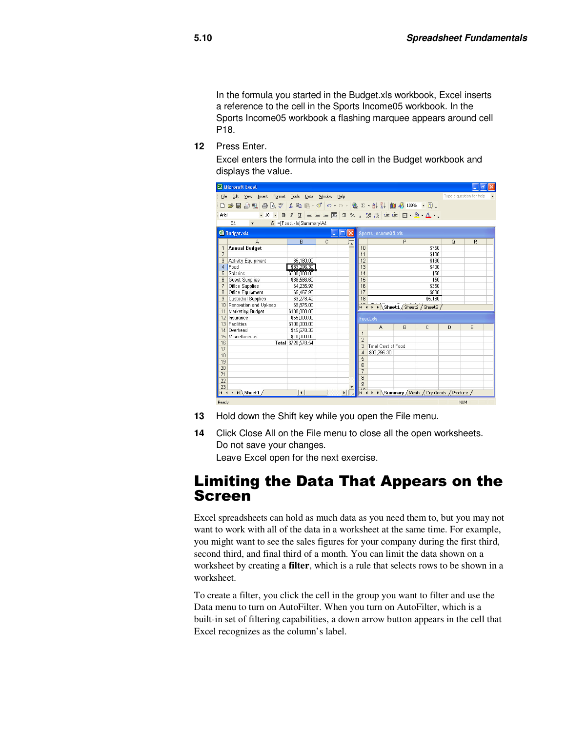In the formula you started in the Budget.xls workbook, Excel inserts a reference to the cell in the Sports Income05 workbook. In the Sports Income05 workbook a flashing marquee appears around cell P18.

**12** Press Enter.

Excel enters the formula into the cell in the Budget workbook and displays the value.

| <b>N</b> Microsoft Excel                                                                       |                             |          |                  |                 |                                                             |   |                                             |          | о          |  |  |
|------------------------------------------------------------------------------------------------|-----------------------------|----------|------------------|-----------------|-------------------------------------------------------------|---|---------------------------------------------|----------|------------|--|--|
| Type a question for help<br>Format Tools<br>Data Window<br>Edit View<br>Insert<br>File<br>Help |                             |          |                  |                 |                                                             |   |                                             |          |            |  |  |
| <del>É</del> B B B B Y X B B · ♂ r · α · B Σ · 2 + 2 + A B + 0 · 0 · 0 · 0                     |                             |          |                  |                 |                                                             |   |                                             |          |            |  |  |
| Arial                                                                                          |                             |          |                  |                 |                                                             |   |                                             |          |            |  |  |
| R4                                                                                             | f =[Food.xls]SummarylA4     |          |                  |                 |                                                             |   |                                             |          |            |  |  |
| <b>图 Budget.xls</b><br>Sports Income05.xls<br><u> - IDIX</u>                                   |                             |          |                  |                 |                                                             |   |                                             |          |            |  |  |
| $\mathsf{A}$                                                                                   | B                           | C        | $\blacktriangle$ |                 |                                                             | P |                                             | $\Omega$ | R          |  |  |
| <b>Annual Budget</b>                                                                           |                             |          |                  | 10              |                                                             |   | \$750                                       |          |            |  |  |
| $\overline{2}$                                                                                 |                             |          |                  | 11              |                                                             |   | \$100                                       |          |            |  |  |
| 3<br>Activity Equipment                                                                        | \$5,180.00                  |          |                  | 12              |                                                             |   | \$130                                       |          |            |  |  |
| $\overline{4}$<br>Food<br>5<br><b>Salaries</b>                                                 | \$33,296.30<br>\$300,000.00 |          |                  | 13<br>14        |                                                             |   | \$400<br>\$50                               |          |            |  |  |
| 6<br><b>Guest Supplies</b>                                                                     | \$38,566.60                 |          |                  | 15              |                                                             |   | \$50                                        |          |            |  |  |
| Office Supplies                                                                                | \$4,235.99                  |          |                  | 16              |                                                             |   |                                             |          |            |  |  |
| 8<br>Office Equipment                                                                          | \$5,467.90                  |          |                  | 17              |                                                             |   | \$350<br>\$500                              |          |            |  |  |
| <b>Custodial Supplies</b><br>9                                                                 | \$3,278.42                  |          |                  | 18              |                                                             |   | \$5,180                                     |          |            |  |  |
| 10 Renovation and Upkeep                                                                       | \$9,875.00                  |          |                  | $\overline{AB}$ | $\overline{\blacktriangleright}$ M Sheet1 / Sheet2 / Sheet3 |   |                                             |          |            |  |  |
| 11 Marketing Budget                                                                            | \$100,000.00                |          |                  |                 |                                                             |   |                                             |          |            |  |  |
| 12 Insurance                                                                                   | \$65,000.00                 | Food.xls |                  |                 |                                                             |   |                                             |          |            |  |  |
| 13 Facilities                                                                                  | \$100,000.00                |          |                  |                 | A                                                           | B | C                                           | D        | E          |  |  |
| 14 Overhead                                                                                    | \$45,678.33                 |          |                  | 1               |                                                             |   |                                             |          |            |  |  |
| 15 Miscellaneous                                                                               | \$10,000.00                 |          |                  | $\overline{2}$  |                                                             |   |                                             |          |            |  |  |
| 16<br>17                                                                                       | Total \$720,578.54          |          |                  | 3               | <b>Total Cost of Food</b>                                   |   |                                             |          |            |  |  |
| 18                                                                                             |                             |          |                  | $\overline{4}$  | \$33,296.30                                                 |   |                                             |          |            |  |  |
| 19                                                                                             |                             |          |                  | 5               |                                                             |   |                                             |          |            |  |  |
| 20                                                                                             |                             |          |                  | 6               |                                                             |   |                                             |          |            |  |  |
| 21                                                                                             |                             |          |                  | 7               |                                                             |   |                                             |          |            |  |  |
| 22                                                                                             |                             |          |                  | 8               |                                                             |   |                                             |          |            |  |  |
| 23                                                                                             |                             |          |                  | 9               |                                                             |   |                                             |          |            |  |  |
| $H \supset$ Sheet1/<br><b>IK 4</b>                                                             | $\vert \cdot \vert$         |          |                  |                 |                                                             |   | > H Summary / Meats / Dry Goods / Produce / |          |            |  |  |
| Ready                                                                                          |                             |          |                  |                 |                                                             |   |                                             |          | <b>NUM</b> |  |  |

- **13** Hold down the Shift key while you open the File menu.
- **14** Click Close All on the File menu to close all the open worksheets. Do not save your changes. Leave Excel open for the next exercise.

#### Limiting the Data That Appears on the Screen

Excel spreadsheets can hold as much data as you need them to, but you may not want to work with all of the data in a worksheet at the same time. For example, you might want to see the sales figures for your company during the first third, second third, and final third of a month. You can limit the data shown on a worksheet by creating a **filter**, which is a rule that selects rows to be shown in a worksheet.

To create a filter, you click the cell in the group you want to filter and use the Data menu to turn on AutoFilter. When you turn on AutoFilter, which is a built-in set of filtering capabilities, a down arrow button appears in the cell that Excel recognizes as the column's label.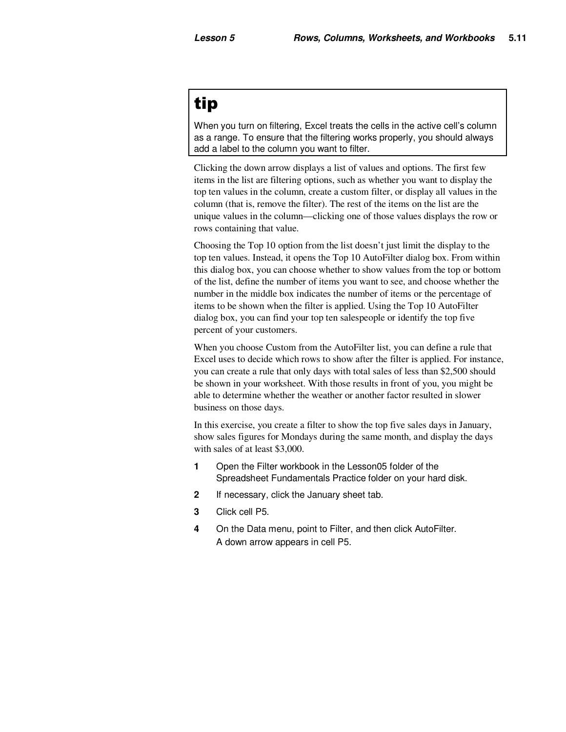# tip

When you turn on filtering, Excel treats the cells in the active cell's column as a range. To ensure that the filtering works properly, you should always add a label to the column you want to filter.

Clicking the down arrow displays a list of values and options. The first few items in the list are filtering options, such as whether you want to display the top ten values in the column, create a custom filter, or display all values in the column (that is, remove the filter). The rest of the items on the list are the unique values in the column—clicking one of those values displays the row or rows containing that value.

Choosing the Top 10 option from the list doesn't just limit the display to the top ten values. Instead, it opens the Top 10 AutoFilter dialog box. From within this dialog box, you can choose whether to show values from the top or bottom of the list, define the number of items you want to see, and choose whether the number in the middle box indicates the number of items or the percentage of items to be shown when the filter is applied. Using the Top 10 AutoFilter dialog box, you can find your top ten salespeople or identify the top five percent of your customers.

When you choose Custom from the AutoFilter list, you can define a rule that Excel uses to decide which rows to show after the filter is applied. For instance, you can create a rule that only days with total sales of less than \$2,500 should be shown in your worksheet. With those results in front of you, you might be able to determine whether the weather or another factor resulted in slower business on those days.

In this exercise, you create a filter to show the top five sales days in January, show sales figures for Mondays during the same month, and display the days with sales of at least \$3,000.

- **1** Open the Filter workbook in the Lesson05 folder of the Spreadsheet Fundamentals Practice folder on your hard disk.
- **2** If necessary, click the January sheet tab.
- **3** Click cell P5.
- **4** On the Data menu, point to Filter, and then click AutoFilter. A down arrow appears in cell P5.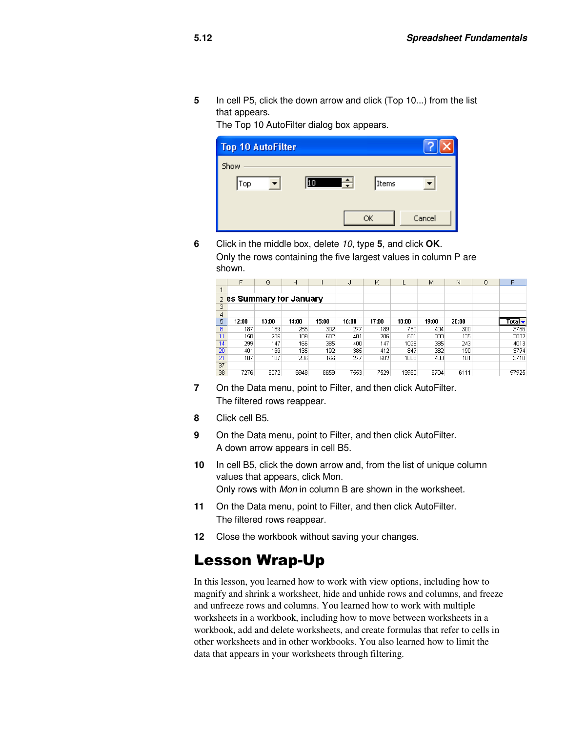**5** In cell P5, click the down arrow and click (Top 10...) from the list that appears.

The Top 10 AutoFilter dialog box appears.

| <b>Top 10 AutoFilter</b> |                  |        |
|--------------------------|------------------|--------|
| Show<br>Top              | ÷<br>10<br>Items |        |
|                          | ОК               | Cancel |

**6** Click in the middle box, delete 10, type **5**, and click **OK**. Only the rows containing the five largest values in column P are shown.

|                | F                        | G     | Н     |       | J     | K     |       | М     | N     | P                  |
|----------------|--------------------------|-------|-------|-------|-------|-------|-------|-------|-------|--------------------|
| 1              |                          |       |       |       |       |       |       |       |       |                    |
|                | 2 es Summary for January |       |       |       |       |       |       |       |       |                    |
| 3              |                          |       |       |       |       |       |       |       |       |                    |
| $\overline{4}$ |                          |       |       |       |       |       |       |       |       |                    |
| 5              | 12:00                    | 13:00 | 14:00 | 15:00 | 16:00 | 17:00 | 18:00 | 19:00 | 20:00 | Total <del>v</del> |
| 8              | 187                      | 189   | 285   | 302   | 277   | 189   | 750   | 404   | 300   | 3766               |
| 11             | 150                      | 206   | 189   | 602   | 401   | 206   | 601   | 388   | 135   | 3802               |
| 14             | 299                      | 147   | 166   | 385   | 400   | 147   | 1028  | 385   | 243   | 4013               |
| 20             | 401                      | 166   | 135   | 192   | 385   | 412   | 849   | 382   | 190   | 3794               |
| 21             | 187                      | 187   | 206   | 166   | 277   | 602   | 1003  | 400   | 101   | 3710               |
| 37             |                          |       |       |       |       |       |       |       |       |                    |
| 38             | 7276                     | 8072  | 6948  | 8659  | 7553  | 7529  | 13930 | 8704  | 6111  | 97925              |

- **7** On the Data menu, point to Filter, and then click AutoFilter. The filtered rows reappear.
- **8** Click cell B5.
- **9** On the Data menu, point to Filter, and then click AutoFilter. A down arrow appears in cell B5.
- **10** In cell B5, click the down arrow and, from the list of unique column values that appears, click Mon. Only rows with Mon in column B are shown in the worksheet.
- **11** On the Data menu, point to Filter, and then click AutoFilter. The filtered rows reappear.
- **12** Close the workbook without saving your changes.

# Lesson Wrap-Up

In this lesson, you learned how to work with view options, including how to magnify and shrink a worksheet, hide and unhide rows and columns, and freeze and unfreeze rows and columns. You learned how to work with multiple worksheets in a workbook, including how to move between worksheets in a workbook, add and delete worksheets, and create formulas that refer to cells in other worksheets and in other workbooks. You also learned how to limit the data that appears in your worksheets through filtering.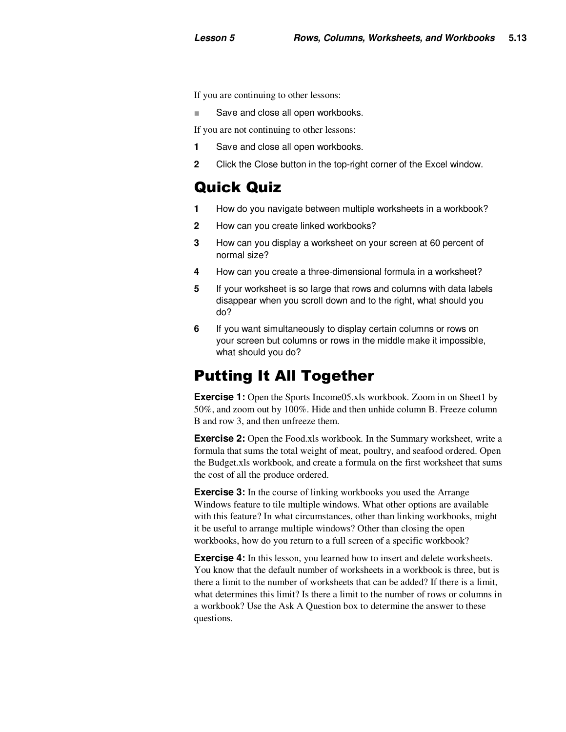If you are continuing to other lessons:

■ Save and close all open workbooks.

If you are not continuing to other lessons:

- **1** Save and close all open workbooks.
- **2** Click the Close button in the top-right corner of the Excel window.

## Quick Quiz

- **1** How do you navigate between multiple worksheets in a workbook?
- **2** How can you create linked workbooks?
- **3** How can you display a worksheet on your screen at 60 percent of normal size?
- **4** How can you create a three-dimensional formula in a worksheet?
- **5** If your worksheet is so large that rows and columns with data labels disappear when you scroll down and to the right, what should you do?
- **6** If you want simultaneously to display certain columns or rows on your screen but columns or rows in the middle make it impossible, what should you do?

# Putting It All Together

**Exercise 1:** Open the Sports Income05.xls workbook. Zoom in on Sheet1 by 50%, and zoom out by 100%. Hide and then unhide column B. Freeze column B and row 3, and then unfreeze them.

**Exercise 2:** Open the Food.xls workbook. In the Summary worksheet, write a formula that sums the total weight of meat, poultry, and seafood ordered. Open the Budget.xls workbook, and create a formula on the first worksheet that sums the cost of all the produce ordered.

**Exercise 3:** In the course of linking workbooks you used the Arrange Windows feature to tile multiple windows. What other options are available with this feature? In what circumstances, other than linking workbooks, might it be useful to arrange multiple windows? Other than closing the open workbooks, how do you return to a full screen of a specific workbook?

**Exercise 4:** In this lesson, you learned how to insert and delete worksheets. You know that the default number of worksheets in a workbook is three, but is there a limit to the number of worksheets that can be added? If there is a limit, what determines this limit? Is there a limit to the number of rows or columns in a workbook? Use the Ask A Question box to determine the answer to these questions.